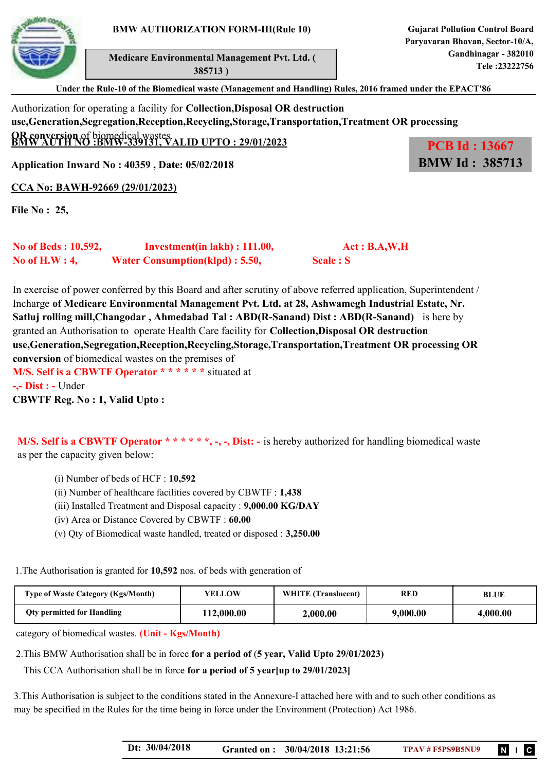

 **Medicare Environmental Management Pvt. Ltd. ( 385713 )**

**BMW Id : 385713**

**Under the Rule-10 of the Biomedical waste (Management and Handling) Rules, 2016 framed under the EPACT'86**

## Authorization for operating a facility for **Collection,Disposal OR destruction use,Generation,Segregation,Reception,Recycling,Storage,Transportation,Treatment OR processing OR conversion** of biomedical wastes. **BMW AUTH NO :BMW-339131, VALID UPTO : 29/01/2023 PCB Id : 13667**

**Application Inward No : 40359 , Date: 05/02/2018**

**CCA No: BAWH-92669 (29/01/2023)**

**File No : 25,** 

| No of Beds : 10,592, | Investment(in lakh) : 111.00,         | Act : B,A,W,H |
|----------------------|---------------------------------------|---------------|
| No of $H.W: 4$ ,     | <b>Water Consumption(klpd): 5.50,</b> | Scale : S     |

In exercise of power conferred by this Board and after scrutiny of above referred application, Superintendent / Incharge **of Medicare Environmental Management Pvt. Ltd. at 28, Ashwamegh Industrial Estate, Nr. Satluj rolling mill,Changodar , Ahmedabad Tal : ABD(R-Sanand) Dist : ABD(R-Sanand)** is here by granted an Authorisation to operate Health Care facility for **Collection,Disposal OR destruction use,Generation,Segregation,Reception,Recycling,Storage,Transportation,Treatment OR processing OR conversion** of biomedical wastes on the premises of **M/S. Self is a CBWTF Operator \* \* \* \* \* \*** situated at **-,- Dist : -** Under **CBWTF Reg. No : 1, Valid Upto :** 

**M/S. Self is a CBWTF Operator \*\*\*\*\*, -, -, Dist:** - is hereby authorized for handling biomedical waste as per the capacity given below:

- (i) Number of beds of HCF : **10,592**
- (ii) Number of healthcare facilities covered by CBWTF : **1,438**
- (iii) Installed Treatment and Disposal capacity : **9,000.00 KG/DAY**
- (iv) Area or Distance Covered by CBWTF : **60.00**
- (v) Qty of Biomedical waste handled, treated or disposed : **3,250.00**

1.The Authorisation is granted for **10,592** nos. of beds with generation of

| <b>Type of Waste Category (Kgs/Month)</b> | YELLOW     | <b>WHITE</b> (Translucent) | <b>RED</b> | BLUE     |
|-------------------------------------------|------------|----------------------------|------------|----------|
| <b>Oty permitted for Handling</b>         | 112,000.00 | 2,000.00                   | 9,000.00   | 4,000.00 |

category of biomedical wastes. **(Unit - Kgs/Month)**

2.This BMW Authorisation shall be in force **for a period of** (**5 year, Valid Upto 29/01/2023)**

This CCA Authorisation shall be in force **for a period of 5 year[up to 29/01/2023]**

3.This Authorisation is subject to the conditions stated in the Annexure-I attached here with and to such other conditions as may be specified in the Rules for the time being in force under the Environment (Protection) Act 1986.